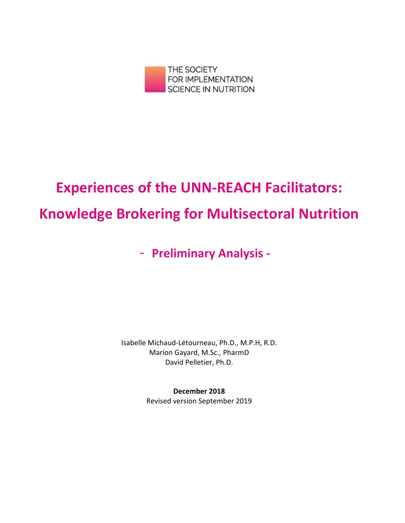

# **Experiences of the UNN-REACH Facilitators: Knowledge Brokering for Multisectoral Nutrition**

# - **Preliminary Analysis -**

Isabelle Michaud-Létourneau, Ph.D., M.P.H, R.D. Marion Gayard, M.Sc., PharmD David Pelletier, Ph.D.

> **December 2018** Revised version September 2019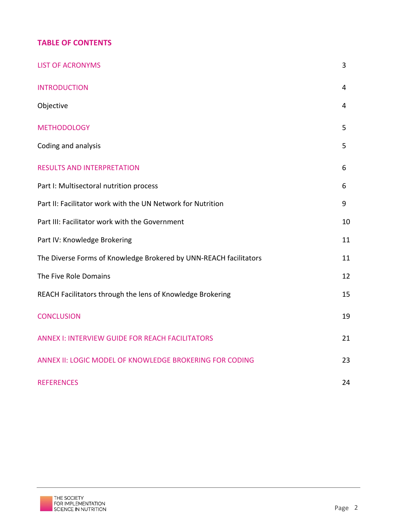# **TABLE OF CONTENTS**

| <b>LIST OF ACRONYMS</b>                                           | 3  |
|-------------------------------------------------------------------|----|
| <b>INTRODUCTION</b>                                               | 4  |
| Objective                                                         | 4  |
| <b>METHODOLOGY</b>                                                | 5  |
| Coding and analysis                                               | 5  |
| <b>RESULTS AND INTERPRETATION</b>                                 | 6  |
| Part I: Multisectoral nutrition process                           | 6  |
| Part II: Facilitator work with the UN Network for Nutrition       | 9  |
| Part III: Facilitator work with the Government                    | 10 |
| Part IV: Knowledge Brokering                                      | 11 |
| The Diverse Forms of Knowledge Brokered by UNN-REACH facilitators | 11 |
| The Five Role Domains                                             | 12 |
| REACH Facilitators through the lens of Knowledge Brokering        | 15 |
| <b>CONCLUSION</b>                                                 | 19 |
| <b>ANNEX I: INTERVIEW GUIDE FOR REACH FACILITATORS</b>            | 21 |
| ANNEX II: LOGIC MODEL OF KNOWLEDGE BROKERING FOR CODING           | 23 |
| <b>REFERENCES</b>                                                 | 24 |

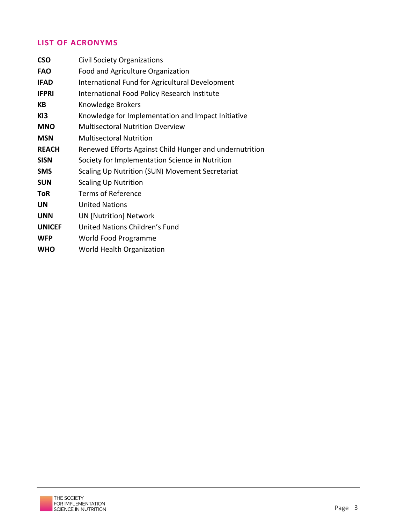# **LIST OF ACRONYMS**

| <b>CSO</b>    | <b>Civil Society Organizations</b>                      |
|---------------|---------------------------------------------------------|
| <b>FAO</b>    | Food and Agriculture Organization                       |
| <b>IFAD</b>   | International Fund for Agricultural Development         |
| <b>IFPRI</b>  | International Food Policy Research Institute            |
| KB            | Knowledge Brokers                                       |
| KI3           | Knowledge for Implementation and Impact Initiative      |
| <b>MNO</b>    | <b>Multisectoral Nutrition Overview</b>                 |
| <b>MSN</b>    | <b>Multisectoral Nutrition</b>                          |
| <b>REACH</b>  | Renewed Efforts Against Child Hunger and undernutrition |
| <b>SISN</b>   | Society for Implementation Science in Nutrition         |
| <b>SMS</b>    | Scaling Up Nutrition (SUN) Movement Secretariat         |
| <b>SUN</b>    | <b>Scaling Up Nutrition</b>                             |
| <b>ToR</b>    | Terms of Reference                                      |
| UN            | <b>United Nations</b>                                   |
| <b>UNN</b>    | <b>UN [Nutrition] Network</b>                           |
| <b>UNICEF</b> | United Nations Children's Fund                          |
| <b>WFP</b>    | World Food Programme                                    |
| <b>WHO</b>    | World Health Organization                               |

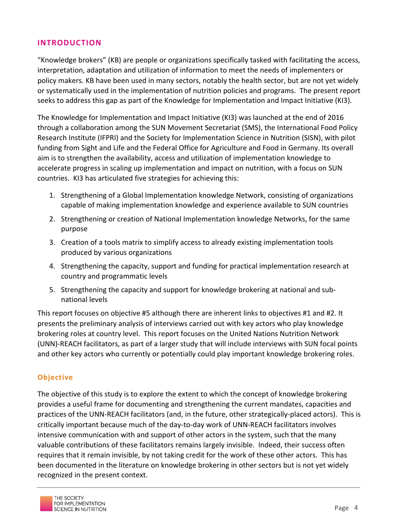#### **INTRODUCTION**

"Knowledge brokers" (KB) are people or organizations specifically tasked with facilitating the access, interpretation, adaptation and utilization of information to meet the needs of implementers or policy makers. KB have been used in many sectors, notably the health sector, but are not yet widely or systematically used in the implementation of nutrition policies and programs. The present report seeks to address this gap as part of the Knowledge for Implementation and Impact Initiative (KI3).

The Knowledge for Implementation and Impact Initiative (KI3) was launched at the end of 2016 through a collaboration among the SUN Movement Secretariat (SMS), the International Food Policy Research Institute (IFPRI) and the Society for Implementation Science in Nutrition (SISN), with pilot funding from Sight and Life and the Federal Office for Agriculture and Food in Germany. Its overall aim is to strengthen the availability, access and utilization of implementation knowledge to accelerate progress in scaling up implementation and impact on nutrition, with a focus on SUN countries. KI3 has articulated five strategies for achieving this:

- 1. Strengthening of a Global Implementation knowledge Network, consisting of organizations capable of making implementation knowledge and experience available to SUN countries
- 2. Strengthening or creation of National Implementation knowledge Networks, for the same purpose
- 3. Creation of a tools matrix to simplify access to already existing implementation tools produced by various organizations
- 4. Strengthening the capacity, support and funding for practical implementation research at country and programmatic levels
- 5. Strengthening the capacity and support for knowledge brokering at national and subnational levels

This report focuses on objective #5 although there are inherent links to objectives #1 and #2. It presents the preliminary analysis of interviews carried out with key actors who play knowledge brokering roles at country level. This report focuses on the United Nations Nutrition Network (UNN)-REACH facilitators, as part of a larger study that will include interviews with SUN focal points and other key actors who currently or potentially could play important knowledge brokering roles.

#### **Objective**

The objective of this study is to explore the extent to which the concept of knowledge brokering provides a useful frame for documenting and strengthening the current mandates, capacities and practices of the UNN-REACH facilitators (and, in the future, other strategically-placed actors). This is critically important because much of the day-to-day work of UNN-REACH facilitators involves intensive communication with and support of other actors in the system, such that the many valuable contributions of these facilitators remains largely invisible. Indeed, their success often requires that it remain invisible, by not taking credit for the work of these other actors. This has been documented in the literature on knowledge brokering in other sectors but is not yet widely recognized in the present context.

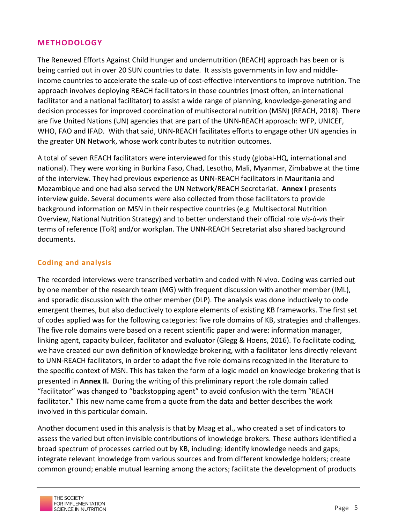#### **METHODOLOGY**

The Renewed Efforts Against Child Hunger and undernutrition (REACH) approach has been or is being carried out in over 20 SUN countries to date. It assists governments in low and middleincome countries to accelerate the scale-up of cost-effective interventions to improve nutrition. The approach involves deploying REACH facilitators in those countries (most often, an international facilitator and a national facilitator) to assist a wide range of planning, knowledge-generating and decision processes for improved coordination of multisectoral nutrition (MSN) (REACH, 2018). There are five United Nations (UN) agencies that are part of the UNN-REACH approach: WFP, UNICEF, WHO, FAO and IFAD. With that said, UNN-REACH facilitates efforts to engage other UN agencies in the greater UN Network, whose work contributes to nutrition outcomes.

A total of seven REACH facilitators were interviewed for this study (global-HQ, international and national). They were working in Burkina Faso, Chad, Lesotho, Mali, Myanmar, Zimbabwe at the time of the interview. They had previous experience as UNN-REACH facilitators in Mauritania and Mozambique and one had also served the UN Network/REACH Secretariat. Annex I presents interview guide. Several documents were also collected from those facilitators to provide background information on MSN in their respective countries (e.g. Multisectoral Nutrition Overview, National Nutrition Strategy) and to better understand their official role *vis-à-vis* their terms of reference (ToR) and/or workplan. The UNN-REACH Secretariat also shared background documents.

#### **Coding and analysis**

The recorded interviews were transcribed verbatim and coded with N-vivo. Coding was carried out by one member of the research team (MG) with frequent discussion with another member (IML), and sporadic discussion with the other member (DLP). The analysis was done inductively to code emergent themes, but also deductively to explore elements of existing KB frameworks. The first set of codes applied was for the following categories: five role domains of KB, strategies and challenges. The five role domains were based on a recent scientific paper and were: information manager, linking agent, capacity builder, facilitator and evaluator (Glegg & Hoens, 2016). To facilitate coding, we have created our own definition of knowledge brokering, with a facilitator lens directly relevant to UNN-REACH facilitators, in order to adapt the five role domains recognized in the literature to the specific context of MSN. This has taken the form of a logic model on knowledge brokering that is presented in **Annex II.** During the writing of this preliminary report the role domain called "facilitator" was changed to "backstopping agent" to avoid confusion with the term "REACH facilitator." This new name came from a quote from the data and better describes the work involved in this particular domain.

Another document used in this analysis is that by Maag et al., who created a set of indicators to assess the varied but often invisible contributions of knowledge brokers. These authors identified a broad spectrum of processes carried out by KB, including: identify knowledge needs and gaps; integrate relevant knowledge from various sources and from different knowledge holders; create common ground; enable mutual learning among the actors; facilitate the development of products

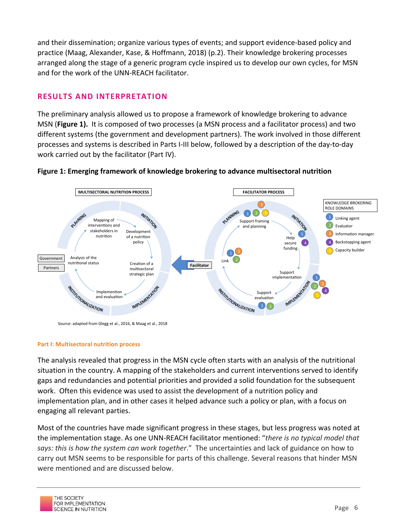and their dissemination; organize various types of events; and support evidence-based policy and practice (Maag, Alexander, Kase, & Hoffmann, 2018) (p.2). Their knowledge brokering processes arranged along the stage of a generic program cycle inspired us to develop our own cycles, for MSN and for the work of the UNN-REACH facilitator.

# **RESULTS AND INTERPRETATION**

The preliminary analysis allowed us to propose a framework of knowledge brokering to advance MSN (Figure 1). It is composed of two processes (a MSN process and a facilitator process) and two different systems (the government and development partners). The work involved in those different processes and systems is described in Parts I-III below, followed by a description of the day-to-day work carried out by the facilitator (Part IV).



#### **Figure 1: Emerging framework of knowledge brokering to advance multisectoral nutrition**

Source: adapted from Glegg et al., 2016, & Maag et al., 2018

#### **Part I: Multisectoral nutrition process**

The analysis revealed that progress in the MSN cycle often starts with an analysis of the nutritional situation in the country. A mapping of the stakeholders and current interventions served to identify gaps and redundancies and potential priorities and provided a solid foundation for the subsequent work. Often this evidence was used to assist the development of a nutrition policy and implementation plan, and in other cases it helped advance such a policy or plan, with a focus on engaging all relevant parties.

Most of the countries have made significant progress in these stages, but less progress was noted at the implementation stage. As one UNN-REACH facilitator mentioned: "*there is no typical model that* says: this is how the system can work together." The uncertainties and lack of guidance on how to carry out MSN seems to be responsible for parts of this challenge. Several reasons that hinder MSN were mentioned and are discussed below.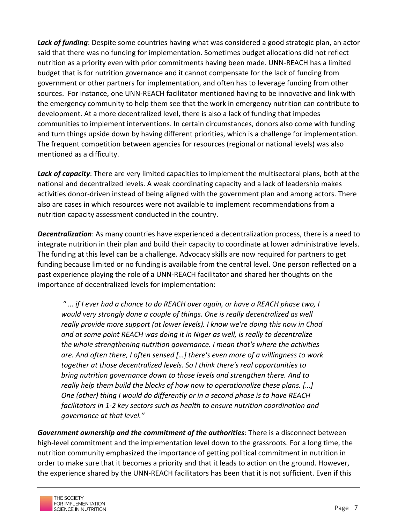**Lack of funding**: Despite some countries having what was considered a good strategic plan, an actor said that there was no funding for implementation. Sometimes budget allocations did not reflect nutrition as a priority even with prior commitments having been made. UNN-REACH has a limited budget that is for nutrition governance and it cannot compensate for the lack of funding from government or other partners for implementation, and often has to leverage funding from other sources. For instance, one UNN-REACH facilitator mentioned having to be innovative and link with the emergency community to help them see that the work in emergency nutrition can contribute to development. At a more decentralized level, there is also a lack of funding that impedes communities to implement interventions. In certain circumstances, donors also come with funding and turn things upside down by having different priorities, which is a challenge for implementation. The frequent competition between agencies for resources (regional or national levels) was also mentioned as a difficulty.

Lack of capacity: There are very limited capacities to implement the multisectoral plans, both at the national and decentralized levels. A weak coordinating capacity and a lack of leadership makes activities donor-driven instead of being aligned with the government plan and among actors. There also are cases in which resources were not available to implement recommendations from a nutrition capacity assessment conducted in the country.

**Decentralization**: As many countries have experienced a decentralization process, there is a need to integrate nutrition in their plan and build their capacity to coordinate at lower administrative levels. The funding at this level can be a challenge. Advocacy skills are now required for partners to get funding because limited or no funding is available from the central level. One person reflected on a past experience playing the role of a UNN-REACH facilitator and shared her thoughts on the importance of decentralized levels for implementation:

" ... if I ever had a chance to do REACH over again, or have a REACH phase two, I *would very strongly done a couple of things. One is really decentralized as well really provide more support (at lower levels). I know we're doing this now in Chad* and at some point REACH was doing it in Niger as well, is really to decentralize *the whole strengthening nutrition governance. I mean that's where the activities* are. And often there, I often sensed [...] there's even more of a willingness to work together at those decentralized levels. So I think there's real opportunities to *bring nutrition governance down to those levels and strengthen there. And to really help them build the blocks of how now to operationalize these plans.* […] *One* (other) thing I would do differently or in a second phase is to have REACH *facilitators* in 1-2 key sectors such as health to ensure nutrition coordination and *governance at that level."* 

Government ownership and the commitment of the *authorities*: There is a disconnect between high-level commitment and the implementation level down to the grassroots. For a long time, the nutrition community emphasized the importance of getting political commitment in nutrition in order to make sure that it becomes a priority and that it leads to action on the ground. However, the experience shared by the UNN-REACH facilitators has been that it is not sufficient. Even if this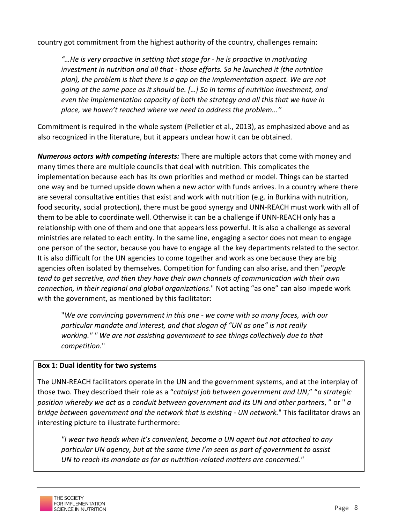country got commitment from the highest authority of the country, challenges remain:

"...He is very proactive in setting that stage for - he is proactive in motivating *investment in nutrition and all that - those efforts. So he launched it (the nutrition* plan), the problem is that there is a gap on the implementation aspect. We are not *going* at the same pace as it should be. [...] So in terms of nutrition investment, and *even* the *implementation capacity of both the strategy and all this that we have in* place, we haven't reached where we need to address the problem..."

Commitment is required in the whole system (Pelletier et al., 2013), as emphasized above and as also recognized in the literature, but it appears unclear how it can be obtained.

*Numerous actors with competing interests:* There are multiple actors that come with money and many times there are multiple councils that deal with nutrition. This complicates the implementation because each has its own priorities and method or model. Things can be started one way and be turned upside down when a new actor with funds arrives. In a country where there are several consultative entities that exist and work with nutrition (e.g. in Burkina with nutrition, food security, social protection), there must be good synergy and UNN-REACH must work with all of them to be able to coordinate well. Otherwise it can be a challenge if UNN-REACH only has a relationship with one of them and one that appears less powerful. It is also a challenge as several ministries are related to each entity. In the same line, engaging a sector does not mean to engage one person of the sector, because you have to engage all the key departments related to the sector. It is also difficult for the UN agencies to come together and work as one because they are big agencies often isolated by themselves. Competition for funding can also arise, and then "*people* tend to get secretive, and then they have their own channels of communication with their own *connection, in their regional and global organizations*." Not acting "as one" can also impede work with the government, as mentioned by this facilitator:

"We are convincing government in this one - we come with so many faces, with our particular mandate and interest, and that slogan of "UN as one" is not really working." " We are not assisting government to see things collectively due to that *competition.*"

#### **Box 1: Dual identity for two systems**

The UNN-REACH facilitators operate in the UN and the government systems, and at the interplay of those two. They described their role as a "*catalyst job between government and UN*," "*a strategic position* whereby we act as a conduit between government and its UN and other partners," or " a *bridge between government and the network that is existing - UN network." This facilitator draws an* interesting picture to illustrate furthermore:

*"I wear two heads when it's convenient, become a UN agent but not attached to any particular UN agency, but at the same time I'm seen as part of government to assist* UN to reach its mandate as far as nutrition-related matters are concerned."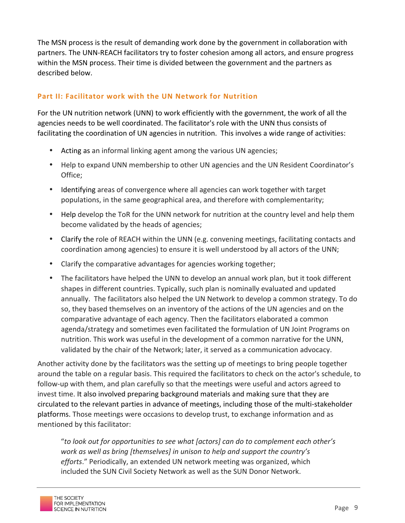The MSN process is the result of demanding work done by the government in collaboration with partners. The UNN-REACH facilitators try to foster cohesion among all actors, and ensure progress within the MSN process. Their time is divided between the government and the partners as described below.

#### **Part II: Facilitator work with the UN Network for Nutrition**

For the UN nutrition network (UNN) to work efficiently with the government, the work of all the agencies needs to be well coordinated. The facilitator's role with the UNN thus consists of facilitating the coordination of UN agencies in nutrition. This involves a wide range of activities:

- Acting as an informal linking agent among the various UN agencies;
- Help to expand UNN membership to other UN agencies and the UN Resident Coordinator's Office;
- Identifying areas of convergence where all agencies can work together with target populations, in the same geographical area, and therefore with complementarity;
- Help develop the ToR for the UNN network for nutrition at the country level and help them become validated by the heads of agencies;
- Clarify the role of REACH within the UNN (e.g. convening meetings, facilitating contacts and coordination among agencies) to ensure it is well understood by all actors of the UNN;
- Clarify the comparative advantages for agencies working together;
- The facilitators have helped the UNN to develop an annual work plan, but it took different shapes in different countries. Typically, such plan is nominally evaluated and updated annually. The facilitators also helped the UN Network to develop a common strategy. To do so, they based themselves on an inventory of the actions of the UN agencies and on the comparative advantage of each agency. Then the facilitators elaborated a common agenda/strategy and sometimes even facilitated the formulation of UN Joint Programs on nutrition. This work was useful in the development of a common narrative for the UNN, validated by the chair of the Network; later, it served as a communication advocacy.

Another activity done by the facilitators was the setting up of meetings to bring people together around the table on a regular basis. This required the facilitators to check on the actor's schedule, to follow-up with them, and plan carefully so that the meetings were useful and actors agreed to invest time. It also involved preparing background materials and making sure that they are circulated to the relevant parties in advance of meetings, including those of the multi-stakeholder platforms. Those meetings were occasions to develop trust, to exchange information and as mentioned by this facilitator:

"to look out for opportunities to see what [actors] can do to complement each other's *work* as well as bring [themselves] in unison to help and support the country's efforts." Periodically, an extended UN network meeting was organized, which included the SUN Civil Society Network as well as the SUN Donor Network.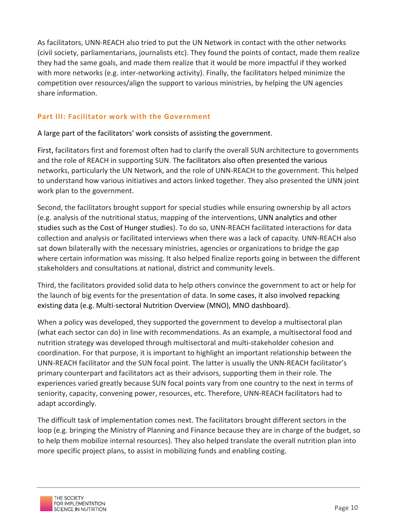As facilitators, UNN-REACH also tried to put the UN Network in contact with the other networks (civil society, parliamentarians, journalists etc). They found the points of contact, made them realize they had the same goals, and made them realize that it would be more impactful if they worked with more networks (e.g. inter-networking activity). Finally, the facilitators helped minimize the competition over resources/align the support to various ministries, by helping the UN agencies share information.

# **Part III: Facilitator work with the Government**

A large part of the facilitators' work consists of assisting the government.

First, facilitators first and foremost often had to clarify the overall SUN architecture to governments and the role of REACH in supporting SUN. The facilitators also often presented the various networks, particularly the UN Network, and the role of UNN-REACH to the government. This helped to understand how various initiatives and actors linked together. They also presented the UNN joint work plan to the government.

Second, the facilitators brought support for special studies while ensuring ownership by all actors (e.g. analysis of the nutritional status, mapping of the interventions, UNN analytics and other studies such as the Cost of Hunger studies). To do so, UNN-REACH facilitated interactions for data collection and analysis or facilitated interviews when there was a lack of capacity. UNN-REACH also sat down bilaterally with the necessary ministries, agencies or organizations to bridge the gap where certain information was missing. It also helped finalize reports going in between the different stakeholders and consultations at national, district and community levels.

Third, the facilitators provided solid data to help others convince the government to act or help for the launch of big events for the presentation of data. In some cases, it also involved repacking existing data (e.g. Multi-sectoral Nutrition Overview (MNO), MNO dashboard).

When a policy was developed, they supported the government to develop a multisectoral plan (what each sector can do) in line with recommendations. As an example, a multisectoral food and nutrition strategy was developed through multisectoral and multi-stakeholder cohesion and coordination. For that purpose, it is important to highlight an important relationship between the UNN-REACH facilitator and the SUN focal point. The latter is usually the UNN-REACH facilitator's primary counterpart and facilitators act as their advisors, supporting them in their role. The experiences varied greatly because SUN focal points vary from one country to the next in terms of seniority, capacity, convening power, resources, etc. Therefore, UNN-REACH facilitators had to adapt accordingly.

The difficult task of implementation comes next. The facilitators brought different sectors in the loop (e.g. bringing the Ministry of Planning and Finance because they are in charge of the budget, so to help them mobilize internal resources). They also helped translate the overall nutrition plan into more specific project plans, to assist in mobilizing funds and enabling costing.

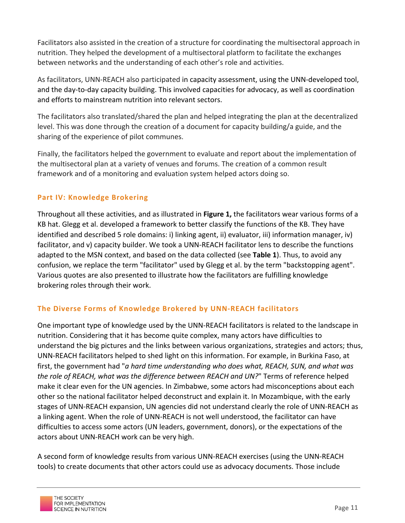Facilitators also assisted in the creation of a structure for coordinating the multisectoral approach in nutrition. They helped the development of a multisectoral platform to facilitate the exchanges between networks and the understanding of each other's role and activities.

As facilitators, UNN-REACH also participated in capacity assessment, using the UNN-developed tool, and the day-to-day capacity building. This involved capacities for advocacy, as well as coordination and efforts to mainstream nutrition into relevant sectors.

The facilitators also translated/shared the plan and helped integrating the plan at the decentralized level. This was done through the creation of a document for capacity building/a guide, and the sharing of the experience of pilot communes.

Finally, the facilitators helped the government to evaluate and report about the implementation of the multisectoral plan at a variety of venues and forums. The creation of a common result framework and of a monitoring and evaluation system helped actors doing so.

# **Part IV: Knowledge Brokering**

Throughout all these activities, and as illustrated in Figure 1, the facilitators wear various forms of a KB hat. Glegg et al. developed a framework to better classify the functions of the KB. They have identified and described 5 role domains: i) linking agent, ii) evaluator, iii) information manager, iv) facilitator, and v) capacity builder. We took a UNN-REACH facilitator lens to describe the functions adapted to the MSN context, and based on the data collected (see Table 1). Thus, to avoid any confusion, we replace the term "facilitator" used by Glegg et al. by the term "backstopping agent". Various quotes are also presented to illustrate how the facilitators are fulfilling knowledge brokering roles through their work.

# **The Diverse Forms of Knowledge Brokered by UNN-REACH facilitators**

One important type of knowledge used by the UNN-REACH facilitators is related to the landscape in nutrition. Considering that it has become quite complex, many actors have difficulties to understand the big pictures and the links between various organizations, strategies and actors; thus, UNN-REACH facilitators helped to shed light on this information. For example, in Burkina Faso, at first, the government had "*a hard time understanding who does what, REACH, SUN, and what was the role of REACH, what was the difference between REACH and UN?*" Terms of reference helped make it clear even for the UN agencies. In Zimbabwe, some actors had misconceptions about each other so the national facilitator helped deconstruct and explain it. In Mozambique, with the early stages of UNN-REACH expansion, UN agencies did not understand clearly the role of UNN-REACH as a linking agent. When the role of UNN-REACH is not well understood, the facilitator can have difficulties to access some actors (UN leaders, government, donors), or the expectations of the actors about UNN-REACH work can be very high.

A second form of knowledge results from various UNN-REACH exercises (using the UNN-REACH tools) to create documents that other actors could use as advocacy documents. Those include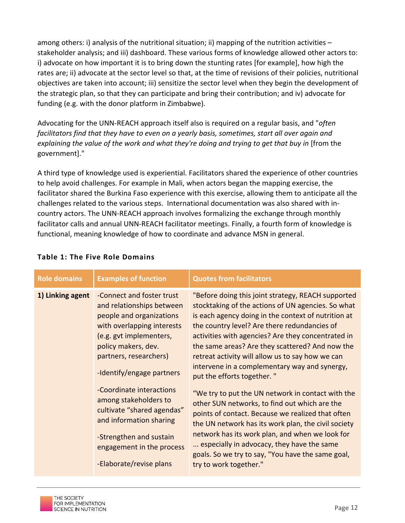among others: i) analysis of the nutritional situation; ii) mapping of the nutrition activities – stakeholder analysis; and iii) dashboard. These various forms of knowledge allowed other actors to: i) advocate on how important it is to bring down the stunting rates [for example], how high the rates are; ii) advocate at the sector level so that, at the time of revisions of their policies, nutritional objectives are taken into account; iii) sensitize the sector level when they begin the development of the strategic plan, so that they can participate and bring their contribution; and iv) advocate for funding (e.g. with the donor platform in Zimbabwe).

Advocating for the UNN-REACH approach itself also is required on a regular basis, and "*often facilitators find that they have to even on a yearly basis, sometimes, start all over again and* explaining the value of the work and what they're doing and trying to get that buy in [from the government]." 

A third type of knowledge used is experiential. Facilitators shared the experience of other countries to help avoid challenges. For example in Mali, when actors began the mapping exercise, the facilitator shared the Burkina Faso experience with this exercise, allowing them to anticipate all the challenges related to the various steps. International documentation was also shared with incountry actors. The UNN-REACH approach involves formalizing the exchange through monthly facilitator calls and annual UNN-REACH facilitator meetings. Finally, a fourth form of knowledge is functional, meaning knowledge of how to coordinate and advance MSN in general.

| <b>Role domains</b> | <b>Examples of function</b>                                                                                                                                                                                                                                                                                                                                                                                                | <b>Quotes from facilitators</b>                                                                                                                                                                                                                                                                                                                                                                                                                                                                                                                                                                                                                                                                                                                                                                                                                               |
|---------------------|----------------------------------------------------------------------------------------------------------------------------------------------------------------------------------------------------------------------------------------------------------------------------------------------------------------------------------------------------------------------------------------------------------------------------|---------------------------------------------------------------------------------------------------------------------------------------------------------------------------------------------------------------------------------------------------------------------------------------------------------------------------------------------------------------------------------------------------------------------------------------------------------------------------------------------------------------------------------------------------------------------------------------------------------------------------------------------------------------------------------------------------------------------------------------------------------------------------------------------------------------------------------------------------------------|
| 1) Linking agent    | -Connect and foster trust<br>and relationships between<br>people and organizations<br>with overlapping interests<br>(e.g. gvt implementers,<br>policy makers, dev.<br>partners, researchers)<br>-Identify/engage partners<br>-Coordinate interactions<br>among stakeholders to<br>cultivate "shared agendas"<br>and information sharing<br>-Strengthen and sustain<br>engagement in the process<br>-Elaborate/revise plans | "Before doing this joint strategy, REACH supported<br>stocktaking of the actions of UN agencies. So what<br>is each agency doing in the context of nutrition at<br>the country level? Are there redundancies of<br>activities with agencies? Are they concentrated in<br>the same areas? Are they scattered? And now the<br>retreat activity will allow us to say how we can<br>intervene in a complementary way and synergy,<br>put the efforts together."<br>"We try to put the UN network in contact with the<br>other SUN networks, to find out which are the<br>points of contact. Because we realized that often<br>the UN network has its work plan, the civil society<br>network has its work plan, and when we look for<br>especially in advocacy, they have the same<br>goals. So we try to say, "You have the same goal,<br>try to work together." |
|                     |                                                                                                                                                                                                                                                                                                                                                                                                                            |                                                                                                                                                                                                                                                                                                                                                                                                                                                                                                                                                                                                                                                                                                                                                                                                                                                               |

# **Table 1: The Five Role Domains**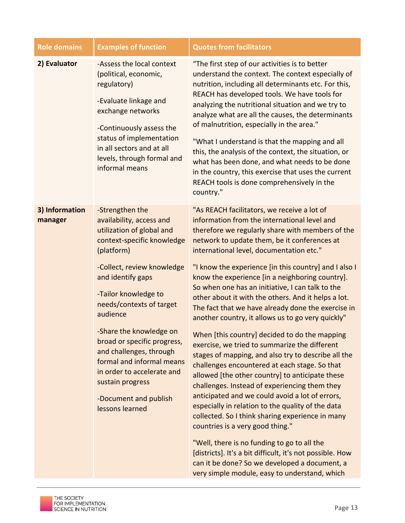| <b>Role domains</b>       | <b>Examples of function</b>                                                                                                                                                                                                                                                                                                                                                                                                                             | <b>Quotes from facilitators</b>                                                                                                                                                                                                                                                                                                                                                                                                                                                                                                                                                                                                                                                                                                                                                                                                                                                                                                                                                                                                                                                                                                                                                                                                                                                                           |
|---------------------------|---------------------------------------------------------------------------------------------------------------------------------------------------------------------------------------------------------------------------------------------------------------------------------------------------------------------------------------------------------------------------------------------------------------------------------------------------------|-----------------------------------------------------------------------------------------------------------------------------------------------------------------------------------------------------------------------------------------------------------------------------------------------------------------------------------------------------------------------------------------------------------------------------------------------------------------------------------------------------------------------------------------------------------------------------------------------------------------------------------------------------------------------------------------------------------------------------------------------------------------------------------------------------------------------------------------------------------------------------------------------------------------------------------------------------------------------------------------------------------------------------------------------------------------------------------------------------------------------------------------------------------------------------------------------------------------------------------------------------------------------------------------------------------|
| 2) Evaluator              | -Assess the local context<br>(political, economic,<br>regulatory)<br>-Evaluate linkage and<br>exchange networks<br>-Continuously assess the<br>status of implementation<br>in all sectors and at all<br>levels, through formal and<br>informal means                                                                                                                                                                                                    | "The first step of our activities is to better<br>understand the context. The context especially of<br>nutrition, including all determinants etc. For this,<br>REACH has developed tools. We have tools for<br>analyzing the nutritional situation and we try to<br>analyze what are all the causes, the determinants<br>of malnutrition, especially in the area."<br>"What I understand is that the mapping and all<br>this, the analysis of the context, the situation, or<br>what has been done, and what needs to be done<br>in the country, this exercise that uses the current<br>REACH tools is done comprehensively in the<br>country."                                                                                                                                                                                                                                                                                                                                                                                                                                                                                                                                                                                                                                                           |
| 3) Information<br>manager | -Strengthen the<br>availability, access and<br>utilization of global and<br>context-specific knowledge<br>(platform)<br>-Collect, review knowledge<br>and identify gaps<br>-Tailor knowledge to<br>needs/contexts of target<br>audience<br>-Share the knowledge on<br>broad or specific progress,<br>and challenges, through<br>formal and informal means<br>in order to accelerate and<br>sustain progress<br>-Document and publish<br>lessons learned | "As REACH facilitators, we receive a lot of<br>information from the international level and<br>therefore we regularly share with members of the<br>network to update them, be it conferences at<br>international level, documentation etc."<br>"I know the experience [in this country] and I also I<br>know the experience [in a neighboring country].<br>So when one has an initiative, I can talk to the<br>other about it with the others. And it helps a lot.<br>The fact that we have already done the exercise in<br>another country, it allows us to go very quickly"<br>When [this country] decided to do the mapping<br>exercise, we tried to summarize the different<br>stages of mapping, and also try to describe all the<br>challenges encountered at each stage. So that<br>allowed [the other country] to anticipate these<br>challenges. Instead of experiencing them they<br>anticipated and we could avoid a lot of errors,<br>especially in relation to the quality of the data<br>collected. So I think sharing experience in many<br>countries is a very good thing."<br>"Well, there is no funding to go to all the<br>[districts]. It's a bit difficult, it's not possible. How<br>can it be done? So we developed a document, a<br>very simple module, easy to understand, which |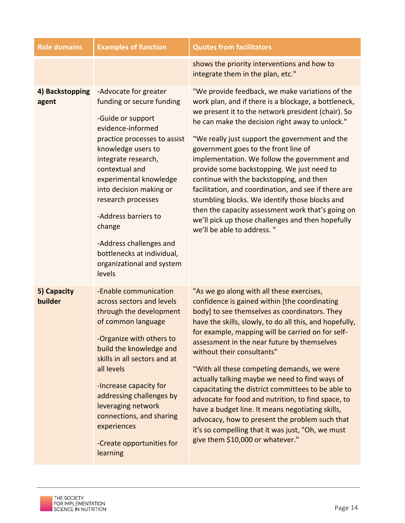| <b>Role domains</b>      | <b>Examples of function</b>                                                                                                                                                                                                                                                                                                                                                                              | <b>Quotes from facilitators</b>                                                                                                                                                                                                                                                                                                                                                                                                                                                                                                                                                                                                                                                                                                                     |
|--------------------------|----------------------------------------------------------------------------------------------------------------------------------------------------------------------------------------------------------------------------------------------------------------------------------------------------------------------------------------------------------------------------------------------------------|-----------------------------------------------------------------------------------------------------------------------------------------------------------------------------------------------------------------------------------------------------------------------------------------------------------------------------------------------------------------------------------------------------------------------------------------------------------------------------------------------------------------------------------------------------------------------------------------------------------------------------------------------------------------------------------------------------------------------------------------------------|
|                          |                                                                                                                                                                                                                                                                                                                                                                                                          | shows the priority interventions and how to<br>integrate them in the plan, etc."                                                                                                                                                                                                                                                                                                                                                                                                                                                                                                                                                                                                                                                                    |
| 4) Backstopping<br>agent | -Advocate for greater<br>funding or secure funding<br>-Guide or support<br>evidence-informed<br>practice processes to assist<br>knowledge users to<br>integrate research,<br>contextual and<br>experimental knowledge<br>into decision making or<br>research processes<br>-Address barriers to<br>change<br>-Address challenges and<br>bottlenecks at individual,<br>organizational and system<br>levels | "We provide feedback, we make variations of the<br>work plan, and if there is a blockage, a bottleneck,<br>we present it to the network president (chair). So<br>he can make the decision right away to unlock."<br>"We really just support the government and the<br>government goes to the front line of<br>implementation. We follow the government and<br>provide some backstopping. We just need to<br>continue with the backstopping, and then<br>facilitation, and coordination, and see if there are<br>stumbling blocks. We identify those blocks and<br>then the capacity assessment work that's going on<br>we'll pick up those challenges and then hopefully<br>we'll be able to address."                                              |
| 5) Capacity<br>builder   | -Enable communication<br>across sectors and levels<br>through the development<br>of common language<br>-Organize with others to<br>build the knowledge and<br>skills in all sectors and at<br>all levels<br>-Increase capacity for<br>addressing challenges by<br>leveraging network<br>connections, and sharing<br>experiences<br>-Create opportunities for<br>learning                                 | "As we go along with all these exercises,<br>confidence is gained within [the coordinating<br>body] to see themselves as coordinators. They<br>have the skills, slowly, to do all this, and hopefully,<br>for example, mapping will be carried on for self-<br>assessment in the near future by themselves<br>without their consultants"<br>"With all these competing demands, we were<br>actually talking maybe we need to find ways of<br>capacitating the district committees to be able to<br>advocate for food and nutrition, to find space, to<br>have a budget line. It means negotiating skills,<br>advocacy, how to present the problem such that<br>it's so compelling that it was just, "Oh, we must<br>give them \$10,000 or whatever." |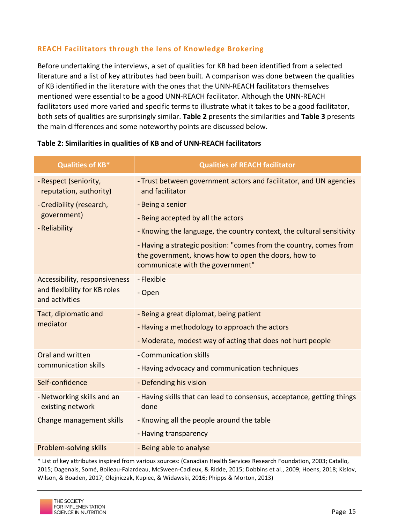# **REACH Facilitators through the lens of Knowledge Brokering**

Before undertaking the interviews, a set of qualities for KB had been identified from a selected literature and a list of key attributes had been built. A comparison was done between the qualities of KB identified in the literature with the ones that the UNN-REACH facilitators themselves mentioned were essential to be a good UNN-REACH facilitator. Although the UNN-REACH facilitators used more varied and specific terms to illustrate what it takes to be a good facilitator, both sets of qualities are surprisingly similar. Table 2 presents the similarities and Table 3 presents the main differences and some noteworthy points are discussed below.

| <b>Qualities of KB*</b>                         | <b>Qualities of REACH facilitator</b>                                                                                                                         |
|-------------------------------------------------|---------------------------------------------------------------------------------------------------------------------------------------------------------------|
| - Respect (seniority,<br>reputation, authority) | - Trust between government actors and facilitator, and UN agencies<br>and facilitator                                                                         |
| - Credibility (research,                        | - Being a senior                                                                                                                                              |
| government)                                     | - Being accepted by all the actors                                                                                                                            |
| - Reliability                                   | - Knowing the language, the country context, the cultural sensitivity                                                                                         |
|                                                 | - Having a strategic position: "comes from the country, comes from<br>the government, knows how to open the doors, how to<br>communicate with the government" |
| Accessibility, responsiveness                   | - Flexible                                                                                                                                                    |
| and flexibility for KB roles<br>and activities  | - Open                                                                                                                                                        |
| Tact, diplomatic and                            | - Being a great diplomat, being patient                                                                                                                       |
| mediator                                        | - Having a methodology to approach the actors                                                                                                                 |
|                                                 | - Moderate, modest way of acting that does not hurt people                                                                                                    |
| Oral and written                                | - Communication skills                                                                                                                                        |
| communication skills                            | - Having advocacy and communication techniques                                                                                                                |
| Self-confidence                                 | - Defending his vision                                                                                                                                        |
| - Networking skills and an<br>existing network  | - Having skills that can lead to consensus, acceptance, getting things<br>done                                                                                |
| Change management skills                        | - Knowing all the people around the table                                                                                                                     |
|                                                 | - Having transparency                                                                                                                                         |
| Problem-solving skills                          | - Being able to analyse                                                                                                                                       |

#### Table 2: Similarities in qualities of KB and of UNN-REACH facilitators

\* List of key attributes inspired from various sources: (Canadian Health Services Research Foundation, 2003; Catallo, 2015; Dagenais, Somé, Boileau-Falardeau, McSween-Cadieux, & Ridde, 2015; Dobbins et al., 2009; Hoens, 2018; Kislov, Wilson, & Boaden, 2017; Olejniczak, Kupiec, & Widawski, 2016; Phipps & Morton, 2013)

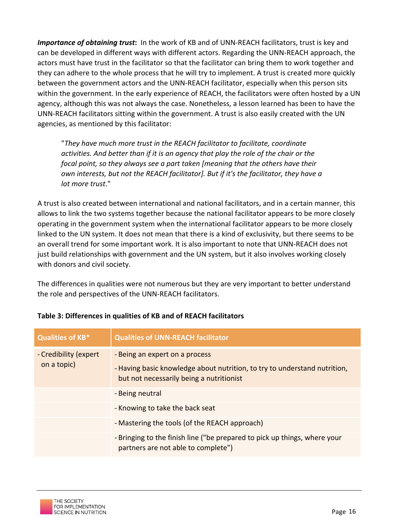*Importance of obtaining trust*: In the work of KB and of UNN-REACH facilitators, trust is key and can be developed in different ways with different actors. Regarding the UNN-REACH approach, the actors must have trust in the facilitator so that the facilitator can bring them to work together and they can adhere to the whole process that he will try to implement. A trust is created more quickly between the government actors and the UNN-REACH facilitator, especially when this person sits within the government. In the early experience of REACH, the facilitators were often hosted by a UN agency, although this was not always the case. Nonetheless, a lesson learned has been to have the UNN-REACH facilitators sitting within the government. A trust is also easily created with the UN agencies, as mentioned by this facilitator:

"*They have much more trust in the REACH facilitator to facilitate, coordinate activities.* And better than if it is an agency that play the role of the chair or the *focal point, so they always see a part taken [meaning that the others have their own interests, but not the REACH facilitator]. But if it's the facilitator, they have a lot more trust*."

A trust is also created between international and national facilitators, and in a certain manner, this allows to link the two systems together because the national facilitator appears to be more closely operating in the government system when the international facilitator appears to be more closely linked to the UN system. It does not mean that there is a kind of exclusivity, but there seems to be an overall trend for some important work. It is also important to note that UNN-REACH does not just build relationships with government and the UN system, but it also involves working closely with donors and civil society.

The differences in qualities were not numerous but they are very important to better understand the role and perspectives of the UNN-REACH facilitators.

| <b>Qualities of KB*</b>              | <b>Qualities of UNN-REACH facilitator</b>                                                                                                               |
|--------------------------------------|---------------------------------------------------------------------------------------------------------------------------------------------------------|
| - Credibility (expert<br>on a topic) | - Being an expert on a process<br>- Having basic knowledge about nutrition, to try to understand nutrition,<br>but not necessarily being a nutritionist |
|                                      | - Being neutral                                                                                                                                         |
|                                      | - Knowing to take the back seat                                                                                                                         |
|                                      | - Mastering the tools (of the REACH approach)                                                                                                           |
|                                      | - Bringing to the finish line ("be prepared to pick up things, where your<br>partners are not able to complete")                                        |

# **Table 3: Differences in qualities of KB and of REACH facilitators**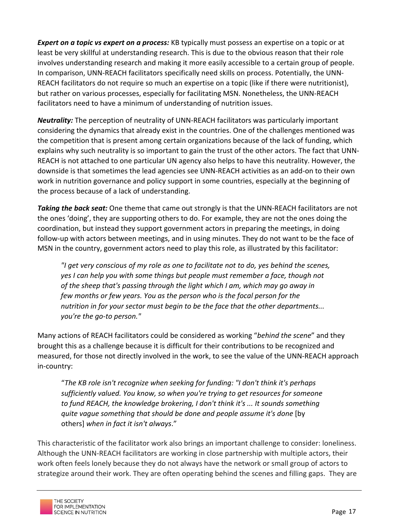**Expert on a topic vs expert on a process:** KB typically must possess an expertise on a topic or at least be very skillful at understanding research. This is due to the obvious reason that their role involves understanding research and making it more easily accessible to a certain group of people. In comparison, UNN-REACH facilitators specifically need skills on process. Potentially, the UNN-REACH facilitators do not require so much an expertise on a topic (like if there were nutritionist), but rather on various processes, especially for facilitating MSN. Nonetheless, the UNN-REACH facilitators need to have a minimum of understanding of nutrition issues.

**Neutrality:** The perception of neutrality of UNN-REACH facilitators was particularly important considering the dynamics that already exist in the countries. One of the challenges mentioned was the competition that is present among certain organizations because of the lack of funding, which explains why such neutrality is so important to gain the trust of the other actors. The fact that UNN-REACH is not attached to one particular UN agency also helps to have this neutrality. However, the downside is that sometimes the lead agencies see UNN-REACH activities as an add-on to their own work in nutrition governance and policy support in some countries, especially at the beginning of the process because of a lack of understanding.

**Taking the back seat:** One theme that came out strongly is that the UNN-REACH facilitators are not the ones 'doing', they are supporting others to do. For example, they are not the ones doing the coordination, but instead they support government actors in preparing the meetings, in doing follow-up with actors between meetings, and in using minutes. They do not want to be the face of MSN in the country, government actors need to play this role, as illustrated by this facilitator:

*"I get very conscious of my role as one to facilitate not to do, yes behind the scenes, yes I* can help you with some things but people must remember a face, though not *of* the sheep that's passing through the light which I am, which may go away in *few months or few years. You as the person who is the focal person for the nutrition in for your sector must begin to be the face that the other departments... you're the go-to person."*

Many actions of REACH facilitators could be considered as working "*behind the scene*" and they brought this as a challenge because it is difficult for their contributions to be recognized and measured, for those not directly involved in the work, to see the value of the UNN-REACH approach in-country:

"The KB role isn't recognize when seeking for funding: "I don't think it's perhaps sufficiently valued. You know, so when you're trying to get resources for someone *to* fund REACH, the knowledge brokering, I don't think it's ... It sounds something *quite* vague something that should be done and people assume it's done [by others] when in fact it isn't always."

This characteristic of the facilitator work also brings an important challenge to consider: loneliness. Although the UNN-REACH facilitators are working in close partnership with multiple actors, their work often feels lonely because they do not always have the network or small group of actors to strategize around their work. They are often operating behind the scenes and filling gaps. They are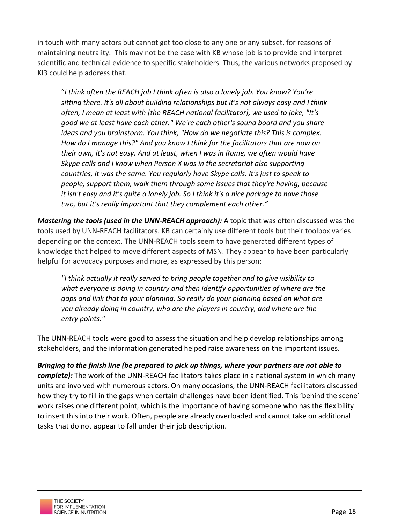in touch with many actors but cannot get too close to any one or any subset, for reasons of maintaining neutrality. This may not be the case with KB whose job is to provide and interpret scientific and technical evidence to specific stakeholders. Thus, the various networks proposed by KI3 could help address that.

"I think often the REACH job I think often is also a lonely job. You know? You're sitting there. It's all about building relationships but it's not always easy and I think *often, I mean at least with [the REACH national facilitator], we used to joke, "It's good* we at least have each other." We're each other's sound board and you share *ideas and you brainstorm. You think, "How do we negotiate this? This is complex.* How do I manage this?" And you know I think for the facilitators that are now on *their* own, it's not easy. And at least, when I was in Rome, we often would have *Skype calls and I know when Person X was in the secretariat also supporting countries, it was the same. You reqularly have Skype calls. It's just to speak to people, support them, walk them through some issues that they're having, because it* isn't easy and it's quite a lonely job. So I think it's a nice package to have those two, but it's really important that they complement each other."

*Mastering the tools (used in the UNN-REACH approach):* A topic that was often discussed was the tools used by UNN-REACH facilitators. KB can certainly use different tools but their toolbox varies depending on the context. The UNN-REACH tools seem to have generated different types of knowledge that helped to move different aspects of MSN. They appear to have been particularly helpful for advocacy purposes and more, as expressed by this person:

*"I think actually it really served to bring people together and to give visibility to*  what everyone is doing in country and then identify opportunities of where are the *gaps* and link that to your planning. So really do your planning based on what are you already doing in country, who are the players in country, and where are the *entry points."*

The UNN-REACH tools were good to assess the situation and help develop relationships among stakeholders, and the information generated helped raise awareness on the important issues.

*Bringing* to the finish line (be prepared to pick up things, where your partners are not able to *complete):* The work of the UNN-REACH facilitators takes place in a national system in which many units are involved with numerous actors. On many occasions, the UNN-REACH facilitators discussed how they try to fill in the gaps when certain challenges have been identified. This 'behind the scene' work raises one different point, which is the importance of having someone who has the flexibility to insert this into their work. Often, people are already overloaded and cannot take on additional tasks that do not appear to fall under their job description.

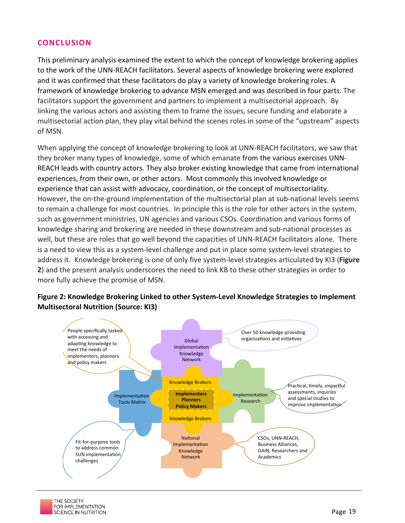#### **CONCLUSION**

This preliminary analysis examined the extent to which the concept of knowledge brokering applies to the work of the UNN-REACH facilitators. Several aspects of knowledge brokering were explored and it was confirmed that these facilitators do play a variety of knowledge brokering roles. A framework of knowledge brokering to advance MSN emerged and was described in four parts. The facilitators support the government and partners to implement a multisectorial approach. By linking the various actors and assisting them to frame the issues, secure funding and elaborate a multisectorial action plan, they play vital behind the scenes roles in some of the "upstream" aspects of MSN.

When applying the concept of knowledge brokering to look at UNN-REACH facilitators, we saw that they broker many types of knowledge, some of which emanate from the various exercises UNN-REACH leads with country actors. They also broker existing knowledge that came from international experiences, from their own, or other actors. Most commonly this involved knowledge or experience that can assist with advocacy, coordination, or the concept of multisectoriality. However, the on-the-ground implementation of the multisectorial plan at sub-national levels seems to remain a challenge for most countries. In principle this is the role for other actors in the system, such as government ministries, UN agencies and various CSOs. Coordination and various forms of knowledge sharing and brokering are needed in these downstream and sub-national processes as well, but these are roles that go well beyond the capacities of UNN-REACH facilitators alone. There is a need to view this as a system-level challenge and put in place some system-level strategies to address it. Knowledge brokering is one of only five system-level strategies articulated by KI3 (Figure **2**) and the present analysis underscores the need to link KB to these other strategies in order to more fully achieve the promise of MSN.



# Figure 2: Knowledge Brokering Linked to other System-Level Knowledge Strategies to Implement **Multisectoral Nutrition (Source: KI3)**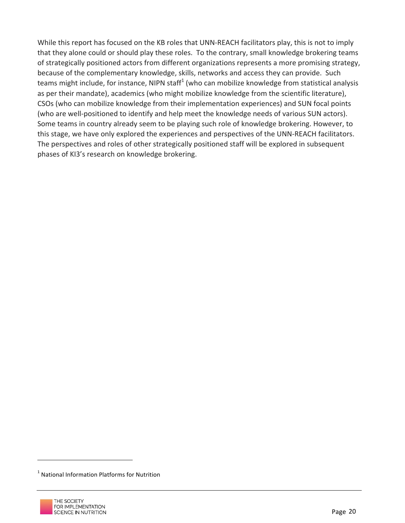While this report has focused on the KB roles that UNN-REACH facilitators play, this is not to imply that they alone could or should play these roles. To the contrary, small knowledge brokering teams of strategically positioned actors from different organizations represents a more promising strategy, because of the complementary knowledge, skills, networks and access they can provide. Such teams might include, for instance, NIPN staff<sup>1</sup> (who can mobilize knowledge from statistical analysis as per their mandate), academics (who might mobilize knowledge from the scientific literature), CSOs (who can mobilize knowledge from their implementation experiences) and SUN focal points (who are well-positioned to identify and help meet the knowledge needs of various SUN actors). Some teams in country already seem to be playing such role of knowledge brokering. However, to this stage, we have only explored the experiences and perspectives of the UNN-REACH facilitators. The perspectives and roles of other strategically positioned staff will be explored in subsequent phases of KI3's research on knowledge brokering.

 $\overline{a}$ 

 $1$  National Information Platforms for Nutrition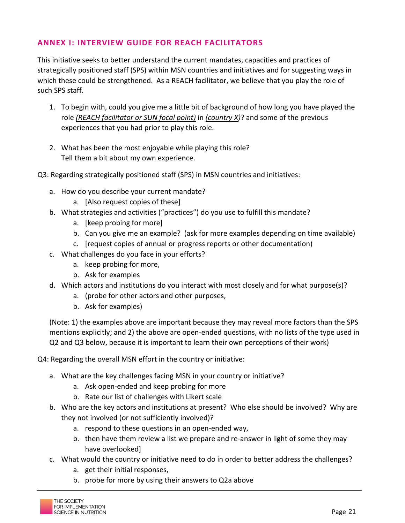#### **ANNEX I: INTERVIEW GUIDE FOR REACH FACILITATORS**

This initiative seeks to better understand the current mandates, capacities and practices of strategically positioned staff (SPS) within MSN countries and initiatives and for suggesting ways in which these could be strengthened. As a REACH facilitator, we believe that you play the role of such SPS staff.

- 1. To begin with, could you give me a little bit of background of how long you have played the role *(REACH facilitator or SUN focal point)* in *(country X)*? and some of the previous experiences that you had prior to play this role.
- 2. What has been the most enjoyable while playing this role? Tell them a bit about my own experience.

Q3: Regarding strategically positioned staff (SPS) in MSN countries and initiatives:

- a. How do you describe your current mandate?
	- a. [Also request copies of these]
- b. What strategies and activities ("practices") do you use to fulfill this mandate?
	- a. [keep probing for more]
	- b. Can you give me an example? (ask for more examples depending on time available)
	- c. [request copies of annual or progress reports or other documentation]
- c. What challenges do you face in your efforts?
	- a. keep probing for more,
	- b. Ask for examples
- d. Which actors and institutions do you interact with most closely and for what purpose(s)?
	- a. (probe for other actors and other purposes,
	- b. Ask for examples)

(Note: 1) the examples above are important because they may reveal more factors than the SPS mentions explicitly; and 2) the above are open-ended questions, with no lists of the type used in Q2 and Q3 below, because it is important to learn their own perceptions of their work)

Q4: Regarding the overall MSN effort in the country or initiative:

- a. What are the key challenges facing MSN in your country or initiative?
	- a. Ask open-ended and keep probing for more
	- b. Rate our list of challenges with Likert scale
- b. Who are the key actors and institutions at present? Who else should be involved? Why are they not involved (or not sufficiently involved)?
	- a. respond to these questions in an open-ended way,
	- b. then have them review a list we prepare and re-answer in light of some they may have overlooked]
- c. What would the country or initiative need to do in order to better address the challenges?
	- a. get their initial responses,
	- b. probe for more by using their answers to Q2a above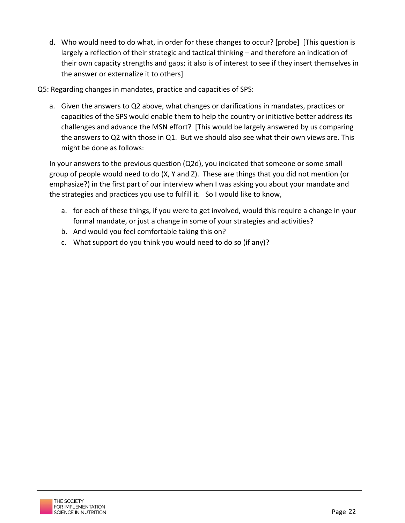d. Who would need to do what, in order for these changes to occur? [probe] [This question is largely a reflection of their strategic and tactical thinking – and therefore an indication of their own capacity strengths and gaps; it also is of interest to see if they insert themselves in the answer or externalize it to others]

Q5: Regarding changes in mandates, practice and capacities of SPS:

a. Given the answers to Q2 above, what changes or clarifications in mandates, practices or capacities of the SPS would enable them to help the country or initiative better address its challenges and advance the MSN effort? [This would be largely answered by us comparing the answers to Q2 with those in Q1. But we should also see what their own views are. This might be done as follows:

In your answers to the previous question (Q2d), you indicated that someone or some small group of people would need to do (X, Y and Z). These are things that you did not mention (or emphasize?) in the first part of our interview when I was asking you about your mandate and the strategies and practices you use to fulfill it. So I would like to know,

- a. for each of these things, if you were to get involved, would this require a change in your formal mandate, or just a change in some of your strategies and activities?
- b. And would you feel comfortable taking this on?
- c. What support do you think you would need to do so (if any)?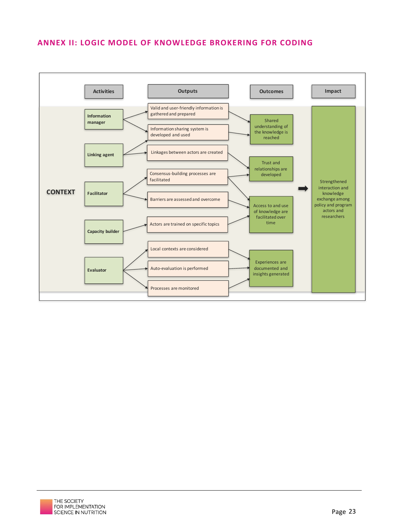#### **ANNEX II: LOGIC MODEL OF KNOWLEDGE BROKERING FOR CODING**